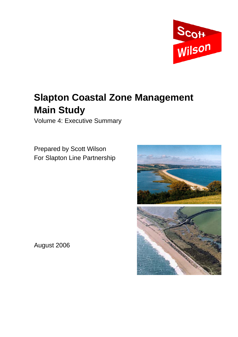

# **Slapton Coastal Zone Management Main Study**

Volume 4: Executive Summary

Prepared by Scott Wilson For Slapton Line Partnership



August 2006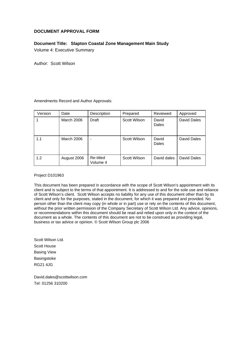#### **DOCUMENT APPROVAL FORM**

#### **Document Title: Slapton Coastal Zone Management Main Study**

Volume 4: Executive Summary

Author: Scott Wilson

Amendments Record and Author Approvals:

| Version | Date        | Description           | Prepared     | Reviewed       | Approved    |
|---------|-------------|-----------------------|--------------|----------------|-------------|
|         | March 2006  | <b>Draft</b>          | Scott Wilson | David<br>Dales | David Dales |
| 1.1     | March 2006  |                       | Scott Wilson | David<br>Dales | David Dales |
| 1.2     | August 2006 | Re-titled<br>Volume 4 | Scott Wilson | David dales    | David Dales |

Project D101963

This document has been prepared in accordance with the scope of Scott Wilson's appointment with its client and is subject to the terms of that appointment. It is addressed to and for the sole use and reliance of Scott Wilson's client. Scott Wilson accepts no liability for any use of this document other than by its client and only for the purposes, stated in the document, for which it was prepared and provided. No person other than the client may copy (in whole or in part) use or rely on the contents of this document, without the prior written permission of the Company Secretary of Scott Wilson Ltd. Any advice, opinions, or recommendations within this document should be read and relied upon only in the context of the document as a whole. The contents of this document are not to be construed as providing legal, business or tax advice or opinion. © Scott Wilson Group plc 2006

Scott Wilson Ltd. Scott House Basing View **Basingstoke** RG21 4JG

David.dales@scottwilson.com Tel: 01256 310200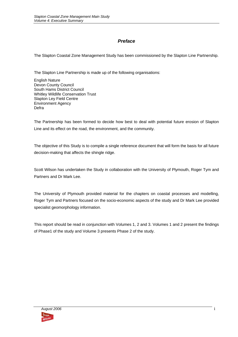#### *Preface*

The Slapton Coastal Zone Management Study has been commissioned by the Slapton Line Partnership.

The Slapton Line Partnership is made up of the following organisations:

English Nature Devon County Council South Hams District Council Whitley Wildlife Conservation Trust Slapton Ley Field Centre Environment Agency Defra

The Partnership has been formed to decide how best to deal with potential future erosion of Slapton Line and its effect on the road, the environment, and the community.

The objective of this Study is to compile a single reference document that will form the basis for all future decision-making that affects the shingle ridge.

Scott Wilson has undertaken the Study in collaboration with the University of Plymouth, Roger Tym and Partners and Dr Mark Lee.

The University of Plymouth provided material for the chapters on coastal processes and modelling, Roger Tym and Partners focused on the socio-economic aspects of the study and Dr Mark Lee provided specialist geomorphology information.

This report should be read in conjunction with Volumes 1, 2 and 3. Volumes 1 and 2 present the findings of Phase1 of the study and Volume 3 presents Phase 2 of the study.

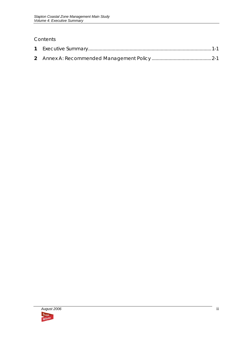### Contents

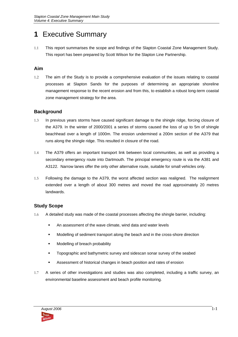## **1** Executive Summary

1.1 This report summarises the scope and findings of the Slapton Coastal Zone Management Study. This report has been prepared by Scott Wilson for the Slapton Line Partnership.

#### **Aim**

1.2 The aim of the Study is to provide a comprehensive evaluation of the issues relating to coastal processes at Slapton Sands for the purposes of determining an appropriate shoreline management response to the recent erosion and from this, to establish a robust long-term coastal zone management strategy for the area.

#### **Background**

- 1.3 In previous years storms have caused significant damage to the shingle ridge, forcing closure of the A379. In the winter of 2000/2001 a series of storms caused the loss of up to 5m of shingle beachhead over a length of 1000m. The erosion undermined a 200m section of the A379 that runs along the shingle ridge. This resulted in closure of the road.
- 1.4 The A379 offers an important transport link between local communities, as well as providing a secondary emergency route into Dartmouth. The principal emergency route is via the A381 and A3122. Narrow lanes offer the only other alternative route, suitable for small vehicles only.
- 1.5 Following the damage to the A379, the worst affected section was realigned. The realignment extended over a length of about 300 metres and moved the road approximately 20 metres landwards.

#### **Study Scope**

- 1.6 A detailed study was made of the coastal processes affecting the shingle barrier, including:
	- An assessment of the wave climate, wind data and water levels
	- Modelling of sediment transport along the beach and in the cross-shore direction
	- **Modelling of breach probability**
	- **Topographic and bathymetric survey and sidescan sonar survey of the seabed**
	- Assessment of historical changes in beach position and rates of erosion
- 1.7 A series of other investigations and studies was also completed, including a traffic survey, an environmental baseline assessment and beach profile monitoring.

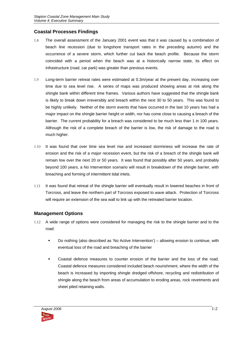#### **Coastal Processes Findings**

- 1.8 The overall assessment of the January 2001 event was that it was caused by a combination of beach line recession (due to longshore transport rates in the preceding autumn) and the occurrence of a severe storm, which further cut back the beach profile. Because the storm coincided with a period when the beach was at a historically narrow state, its effect on infrastructure (road, car park) was greater than previous events.
- 1.9 Long-term barrier retreat rates were estimated at 0.3m/year at the present day, increasing over time due to sea level rise. A series of maps was produced showing areas at risk along the shingle bank within different time frames. Various authors have suggested that the shingle bank is likely to break down irreversibly and breach within the next 30 to 50 years. This was found to be highly unlikely. Neither of the storm events that have occurred in the last 10 years has had a major impact on the shingle barrier height or width, nor has come close to causing a breach of the barrier. The current probability for a breach was considered to be much less than 1 in 100 years. Although the risk of a complete breach of the barrier is low, the risk of damage to the road is much higher.
- 1.10 It was found that over time sea level rise and increased storminess will increase the rate of erosion and the risk of a major recession event, but the risk of a breach of the shingle bank will remain low over the next 20 or 50 years. It was found that possibly after 50 years, and probably beyond 100 years, a No Intervention scenario will result in breakdown of the shingle barrier, with breaching and forming of intermittent tidal inlets.
- 1.11 It was found that retreat of the shingle barrier will eventually result in lowered beaches in front of Torcross, and leave the northern part of Torcross exposed to wave attack. Protection of Torcross will require an extension of the sea wall to link up with the retreated barrier location.

#### **Management Options**

- 1.12 A wide range of options were considered for managing the risk to the shingle barrier and to the road:
	- Do nothing (also described as 'No Active Intervention') allowing erosion to continue, with eventual loss of the road and breaching of the barrier
	- Coastal defence measures to counter erosion of the barrier and the loss of the road. Coastal defence measures considered included beach nourishment, where the width of the beach is increased by importing shingle dredged offshore, recycling and redistribution of shingle along the beach from areas of accumulation to eroding areas, rock revetments and sheet piled retaining walls.

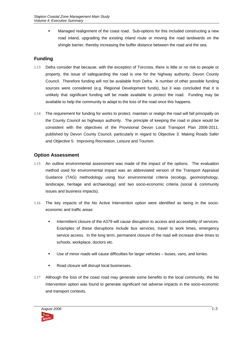**Managed realignment of the coast road. Sub-options for this included constructing a new** road inland, upgrading the existing inland route or moving the road landwards on the shingle barrier, thereby increasing the buffer distance between the road and the sea.

### **Funding**

- 1.13 Defra consider that because, with the exception of Torcross, there is little or no risk to people or property, the issue of safeguarding the road is one for the highway authority, Devon County Council. Therefore funding will not be available from Defra. A number of other possible funding sources were considered (e.g. Regional Development funds), but it was concluded that it is unlikely that significant funding will be made available to protect the road. Funding may be available to help the community to adapt to the loss of the road once this happens.
- 1.14 The requirement for funding for works to protect, maintain or realign the road will fall principally on the County Council as highways authority. The principle of keeping the road in place would be consistent with the objectives of the Provisional Devon Local Transport Plan 2006-2011, published by Devon County Council, particularly in regard to Objective 3: Making Roads Safer and Objective 5: Improving Recreation, Leisure and Tourism.

#### **Option Assessment**

- 1.15 An outline environmental assessment was made of the impact of the options. The evaluation method used for environmental impact was an abbreviated version of the Transport Appraisal Guidance (TAG) methodology using four environmental criteria (ecology, geomorphology, landscape, heritage and archaeology) and two socio-economic criteria (social & community issues and business impacts).
- 1.16 The key impacts of the No Active Intervention option were identified as being in the socioeconomic and traffic areas:
	- Intermittent closure of the A379 will cause disruption to access and accessibility of services. Examples of these disruptions include bus services, travel to work times, emergency service access. In the long term, permanent closure of the road will increase drive times to schools, workplace, doctors etc.
	- Use of minor roads will cause difficulties for larger vehicles buses, vans, and lorries.
	- Road closure will disrupt local businesses.
- 1.17 Although the loss of the coast road may generate some benefits to the local community, the No Intervention option was found to generate significant net adverse impacts in the socio-economic and transport contexts.

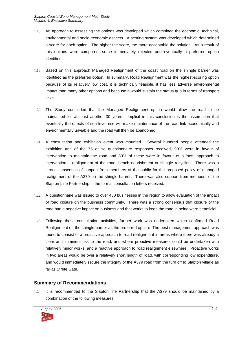- 1.18 An approach to assessing the options was developed which combined the economic, technical, environmental and socio-economic aspects. A scoring system was developed which determined a score for each option. The higher the score, the more acceptable the solution. As a result of this options were compared, some immediately rejected and eventually a preferred option identified.
- 1.19 Based on this approach Managed Realignment of the coast road on the shingle barrier was identified as the preferred option. In summary, Road Realignment was the highest-scoring option because of its relatively low cost, it is technically feasible, it has less adverse environmental impact than many other options and because it would sustain the status quo in terms of transport links.
- 1.20 The Study concluded that the Managed Realignment option would allow the road to be maintained for at least another 30 years. Implicit in this conclusion is the assumption that eventually the effects of sea level rise will make maintenance of the road link economically and environmentally unviable and the road will then be abandoned.
- 1.21 A consultation and exhibition event was mounted. Several hundred people attended the exhibition and of the 75 or so questionnaire responses received, 90% were in favour of intervention to maintain the road and 80% of these were in favour of a 'soft' approach to intervention – realignment of the road, beach nourishment or shingle recycling. There was a strong consensus of support from members of the public for the proposed policy of managed realignment of the A379 on the shingle barrier. There was also support from members of the Slapton Line Partnership in the formal consultation letters received.
- 1.22 A questionnaire was issued to over 450 businesses in the region to allow evaluation of the impact of road closure on the business community. There was a strong consensus that closure of the road had a negative impact on business and that works to keep the road in being were beneficial.
- 1.23 Following these consultation activities, further work was undertaken which confirmed Road Realignment on the shingle barrier as the preferred option. The best management approach was found to consist of a proactive approach to road realignment in areas where there was already a clear and imminent risk to the road, and where proactive measures could be undertaken with relatively minor works, and a reactive approach to road realignment elsewhere. Proactive works in two areas would be over a relatively short length of road, with corresponding low expenditure, and would immediately secure the integrity of the A379 road from the turn off to Slapton village as far as Strete Gate.

#### **Summary of Recommendations**

1.24 It is recommended to the Slapton line Partnership that the A379 should be maintained by a combination of the following measures:

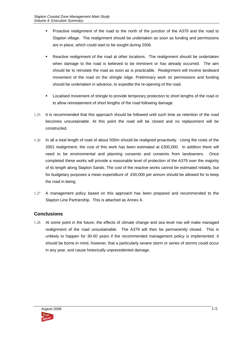- **Proactive realignment of the road to the north of the junction of the A379 and the road to** Slapton village. The realignment should be undertaken as soon as funding and permissions are in place, which could start to be sought during 2006.
- Reactive realignment of the road at other locations. The realignment should be undertaken when damage to the road is believed to be imminent or has already occurred. The aim should be to reinstate the road as soon as is practicable. Realignment will involve landward movement of the road on the shingle ridge. Preliminary work on permissions and funding should be undertaken in advance, to expedite the re-opening of the road.
- Localised movement of shingle to provide temporary protection to short lengths of the road or to allow reinstatement of short lengths of the road following damage.
- 1.25 It is recommended that this approach should be followed until such time as retention of the road becomes unsustainable. At this point the road will be closed and no replacement will be constructed.
- 1.26 In all a total length of road of about 500m should be realigned proactively. Using the costs of the 2001 realignment, the cost of this work has been estimated at £300,000. In addition there will need to be environmental and planning consents and consents from landowners. Once completed these works will provide a reasonable level of protection of the A379 over the majority of its length along Slapton Sands. The cost of the reactive works cannot be estimated reliably, but for budgetary purposes a mean expenditure of £50,000 per annum should be allowed for to keep the road in being.
- 1.27 A management policy based on this approach has been prepared and recommended to the Slapton Line Partnership. This is attached as Annex A.

#### **Conclusions**

1.28 At some point in the future, the effects of climate change and sea level rise will make managed realignment of the road unsustainable. The A379 will then be permanently closed. This is unlikely to happen for 30-50 years if the recommended management policy is implemented. It should be borne in mind, however, that a particularly severe storm or series of storms could occur in any year, and cause historically unprecedented damage.

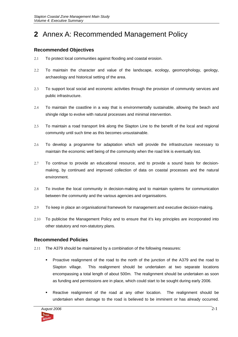# **2** Annex A: Recommended Management Policy

#### **Recommended Objectives**

- 2.1 To protect local communities against flooding and coastal erosion.
- 2.2 To maintain the character and value of the landscape, ecology, geomorphology, geology, archaeology and historical setting of the area.
- 2.3 To support local social and economic activities through the provision of community services and public infrastructure.
- 2.4 To maintain the coastline in a way that is environmentally sustainable, allowing the beach and shingle ridge to evolve with natural processes and minimal intervention.
- 2.5 To maintain a road transport link along the Slapton Line to the benefit of the local and regional community until such time as this becomes unsustainable.
- 2.6 To develop a programme for adaptation which will provide the infrastructure necessary to maintain the economic well being of the community when the road link is eventually lost.
- 2.7 To continue to provide an educational resource, and to provide a sound basis for decisionmaking, by continued and improved collection of data on coastal processes and the natural environment.
- 2.8 To involve the local community in decision-making and to maintain systems for communication between the community and the various agencies and organisations.
- 2.9 To keep in place an organisational framework for management and executive decision-making.
- 2.10 To publicise the Management Policy and to ensure that it's key principles are incorporated into other statutory and non-statutory plans.

#### **Recommended Policies**

- 2.11 The A379 should be maintained by a combination of the following measures:
	- Proactive realignment of the road to the north of the junction of the A379 and the road to Slapton village. This realignment should be undertaken at two separate locations encompassing a total length of about 500m. The realignment should be undertaken as soon as funding and permissions are in place, which could start to be sought during early 2006.
	- Reactive realignment of the road at any other location. The realignment should be undertaken when damage to the road is believed to be imminent or has already occurred.

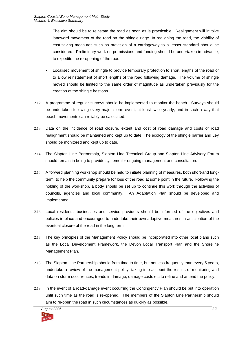The aim should be to reinstate the road as soon as is practicable. Realignment will involve landward movement of the road on the shingle ridge. In realigning the road, the viability of cost-saving measures such as provision of a carriageway to a lesser standard should be considered. Preliminary work on permissions and funding should be undertaken in advance, to expedite the re-opening of the road.

- Localised movement of shingle to provide temporary protection to short lengths of the road or to allow reinstatement of short lengths of the road following damage. The volume of shingle moved should be limited to the same order of magnitude as undertaken previously for the creation of the shingle bastions.
- 2.12 A programme of regular surveys should be implemented to monitor the beach. Surveys should be undertaken following every major storm event, at least twice yearly, and in such a way that beach movements can reliably be calculated.
- 2.13 Data on the incidence of road closure, extent and cost of road damage and costs of road realignment should be maintained and kept up to date. The ecology of the shingle barrier and Ley should be monitored and kept up to date.
- 2.14 The Slapton Line Partnership, Slapton Line Technical Group and Slapton Line Advisory Forum should remain in being to provide systems for ongoing management and consultation.
- 2.15 A forward planning workshop should be held to initiate planning of measures, both short-and longterm, to help the community prepare for loss of the road at some point in the future. Following the holding of the workshop, a body should be set up to continue this work through the activities of councils, agencies and local community. An Adaptation Plan should be developed and implemented.
- 2.16 Local residents, businesses and service providers should be informed of the objectives and policies in place and encouraged to undertake their own adaptive measures in anticipation of the eventual closure of the road in the long term.
- 2.17 The key principles of the Management Policy should be incorporated into other local plans such as the Local Development Framework, the Devon Local Transport Plan and the Shoreline Management Plan.
- 2.18 The Slapton Line Partnership should from time to time, but not less frequently than every 5 years, undertake a review of the management policy, taking into account the results of monitoring and data on storm occurrences, trends in damage, damage costs etc to refine and amend the policy.
- 2.19 In the event of a road-damage event occurring the Contingency Plan should be put into operation until such time as the road is re-opened. The members of the Slapton Line Partnership should aim to re-open the road in such circumstances as quickly as possible.